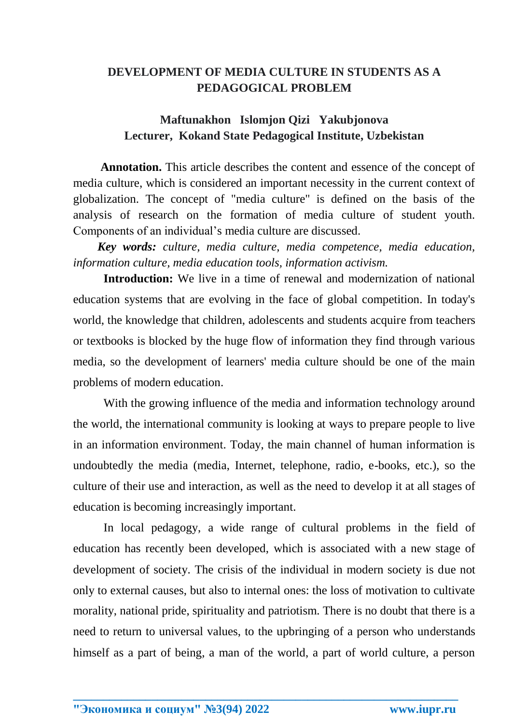## **DEVELOPMENT OF MEDIA CULTURE IN STUDENTS AS A PEDAGOGICAL PROBLEM**

## **Maftunakhon Islomjon Qizi Yakubjonova Lecturer, Kokand State Pedagogical Institute, Uzbekistan**

**Annotation.** This article describes the content and essence of the concept of media culture, which is considered an important necessity in the current context of globalization. The concept of "media culture" is defined on the basis of the analysis of research on the formation of media culture of student youth. Components of an individual's media culture are discussed.

*Key words: culture, media culture, media competence, media education, information culture, media education tools, information activism.*

**Introduction:** We live in a time of renewal and modernization of national education systems that are evolving in the face of global competition. In today's world, the knowledge that children, adolescents and students acquire from teachers or textbooks is blocked by the huge flow of information they find through various media, so the development of learners' media culture should be one of the main problems of modern education.

With the growing influence of the media and information technology around the world, the international community is looking at ways to prepare people to live in an information environment. Today, the main channel of human information is undoubtedly the media (media, Internet, telephone, radio, e-books, etc.), so the culture of their use and interaction, as well as the need to develop it at all stages of education is becoming increasingly important.

In local pedagogy, a wide range of cultural problems in the field of education has recently been developed, which is associated with a new stage of development of society. The crisis of the individual in modern society is due not only to external causes, but also to internal ones: the loss of motivation to cultivate morality, national pride, spirituality and patriotism. There is no doubt that there is a need to return to universal values, to the upbringing of a person who understands himself as a part of being, a man of the world, a part of world culture, a person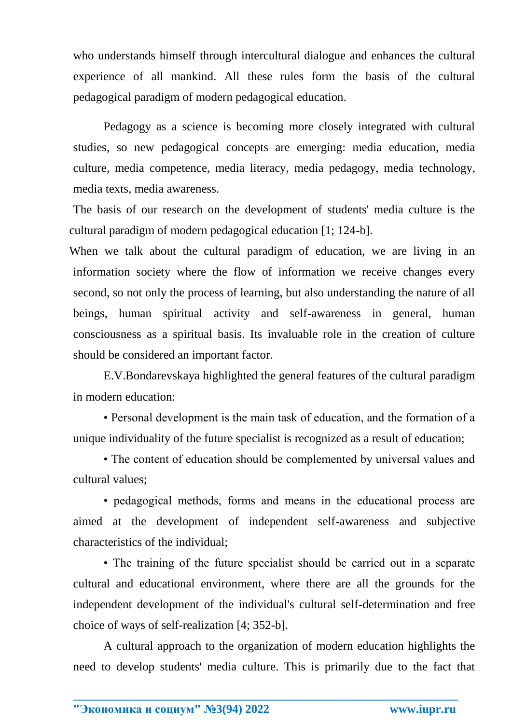who understands himself through intercultural dialogue and enhances the cultural experience of all mankind. All these rules form the basis of the cultural pedagogical paradigm of modern pedagogical education.

Pedagogy as a science is becoming more closely integrated with cultural studies, so new pedagogical concepts are emerging: media education, media culture, media competence, media literacy, media pedagogy, media technology, media texts, media awareness.

The basis of our research on the development of students' media culture is the cultural paradigm of modern pedagogical education [1; 124-b].

When we talk about the cultural paradigm of education, we are living in an information society where the flow of information we receive changes every second, so not only the process of learning, but also understanding the nature of all beings, human spiritual activity and self-awareness in general, human consciousness as a spiritual basis. Its invaluable role in the creation of culture should be considered an important factor.

E.V.Bondarevskaya highlighted the general features of the cultural paradigm in modern education:

• Personal development is the main task of education, and the formation of a unique individuality of the future specialist is recognized as a result of education;

• The content of education should be complemented by universal values and cultural values;

• pedagogical methods, forms and means in the educational process are aimed at the development of independent self-awareness and subjective characteristics of the individual;

• The training of the future specialist should be carried out in a separate cultural and educational environment, where there are all the grounds for the independent development of the individual's cultural self-determination and free choice of ways of self-realization [4; 352-b].

A cultural approach to the organization of modern education highlights the need to develop students' media culture. This is primarily due to the fact that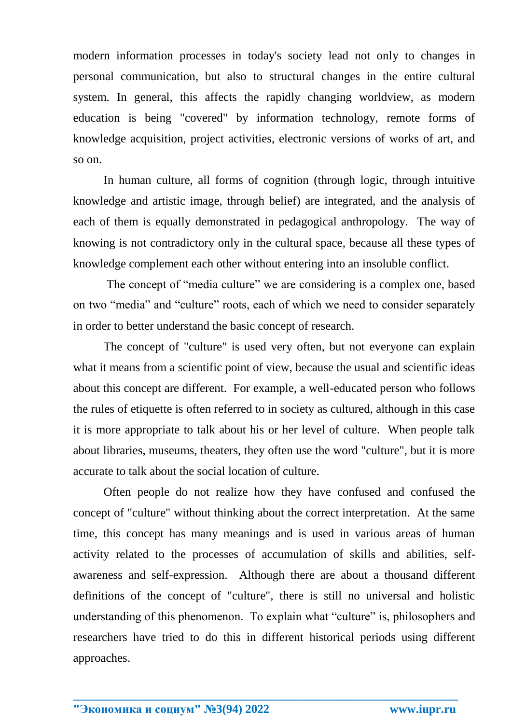modern information processes in today's society lead not only to changes in personal communication, but also to structural changes in the entire cultural system. In general, this affects the rapidly changing worldview, as modern education is being "covered" by information technology, remote forms of knowledge acquisition, project activities, electronic versions of works of art, and so on.

In human culture, all forms of cognition (through logic, through intuitive knowledge and artistic image, through belief) are integrated, and the analysis of each of them is equally demonstrated in pedagogical anthropology. The way of knowing is not contradictory only in the cultural space, because all these types of knowledge complement each other without entering into an insoluble conflict.

The concept of "media culture" we are considering is a complex one, based on two "media" and "culture" roots, each of which we need to consider separately in order to better understand the basic concept of research.

The concept of "culture" is used very often, but not everyone can explain what it means from a scientific point of view, because the usual and scientific ideas about this concept are different. For example, a well-educated person who follows the rules of etiquette is often referred to in society as cultured, although in this case it is more appropriate to talk about his or her level of culture. When people talk about libraries, museums, theaters, they often use the word "culture", but it is more accurate to talk about the social location of culture.

Often people do not realize how they have confused and confused the concept of "culture" without thinking about the correct interpretation. At the same time, this concept has many meanings and is used in various areas of human activity related to the processes of accumulation of skills and abilities, selfawareness and self-expression. Although there are about a thousand different definitions of the concept of "culture", there is still no universal and holistic understanding of this phenomenon. To explain what "culture" is, philosophers and researchers have tried to do this in different historical periods using different approaches.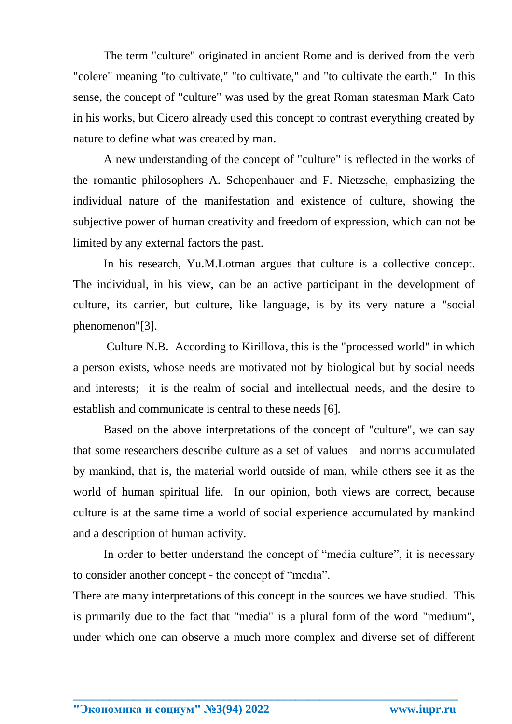The term "culture" originated in ancient Rome and is derived from the verb "colere" meaning "to cultivate," "to cultivate," and "to cultivate the earth." In this sense, the concept of "culture" was used by the great Roman statesman Mark Cato in his works, but Cicero already used this concept to contrast everything created by nature to define what was created by man.

A new understanding of the concept of "culture" is reflected in the works of the romantic philosophers A. Schopenhauer and F. Nietzsche, emphasizing the individual nature of the manifestation and existence of culture, showing the subjective power of human creativity and freedom of expression, which can not be limited by any external factors the past.

In his research, Yu.M.Lotman argues that culture is a collective concept. The individual, in his view, can be an active participant in the development of culture, its carrier, but culture, like language, is by its very nature a "social phenomenon"[3].

Culture N.B. According to Kirillova, this is the "processed world" in which a person exists, whose needs are motivated not by biological but by social needs and interests; it is the realm of social and intellectual needs, and the desire to establish and communicate is central to these needs [6].

Based on the above interpretations of the concept of "culture", we can say that some researchers describe culture as a set of values and norms accumulated by mankind, that is, the material world outside of man, while others see it as the world of human spiritual life. In our opinion, both views are correct, because culture is at the same time a world of social experience accumulated by mankind and a description of human activity.

In order to better understand the concept of "media culture", it is necessary to consider another concept - the concept of "media".

There are many interpretations of this concept in the sources we have studied. This is primarily due to the fact that "media" is a plural form of the word "medium", under which one can observe a much more complex and diverse set of different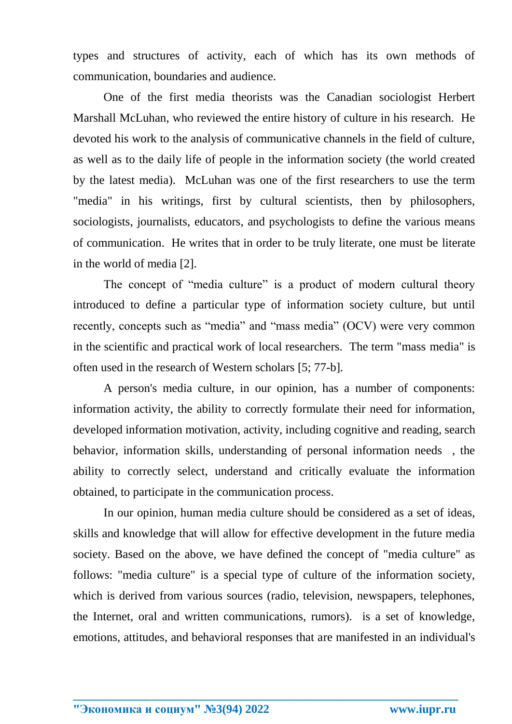types and structures of activity, each of which has its own methods of communication, boundaries and audience.

One of the first media theorists was the Canadian sociologist Herbert Marshall McLuhan, who reviewed the entire history of culture in his research. He devoted his work to the analysis of communicative channels in the field of culture, as well as to the daily life of people in the information society (the world created by the latest media). McLuhan was one of the first researchers to use the term "media" in his writings, first by cultural scientists, then by philosophers, sociologists, journalists, educators, and psychologists to define the various means of communication. He writes that in order to be truly literate, one must be literate in the world of media [2].

The concept of "media culture" is a product of modern cultural theory introduced to define a particular type of information society culture, but until recently, concepts such as "media" and "mass media" (OCV) were very common in the scientific and practical work of local researchers. The term "mass media" is often used in the research of Western scholars [5; 77-b].

A person's media culture, in our opinion, has a number of components: information activity, the ability to correctly formulate their need for information, developed information motivation, activity, including cognitive and reading, search behavior, information skills, understanding of personal information needs , the ability to correctly select, understand and critically evaluate the information obtained, to participate in the communication process.

In our opinion, human media culture should be considered as a set of ideas, skills and knowledge that will allow for effective development in the future media society. Based on the above, we have defined the concept of "media culture" as follows: "media culture" is a special type of culture of the information society, which is derived from various sources (radio, television, newspapers, telephones, the Internet, oral and written communications, rumors). is a set of knowledge, emotions, attitudes, and behavioral responses that are manifested in an individual's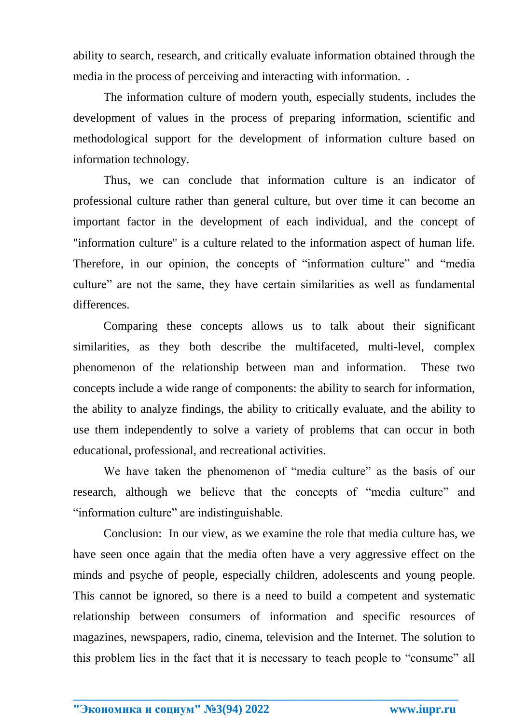ability to search, research, and critically evaluate information obtained through the media in the process of perceiving and interacting with information. .

The information culture of modern youth, especially students, includes the development of values in the process of preparing information, scientific and methodological support for the development of information culture based on information technology.

Thus, we can conclude that information culture is an indicator of professional culture rather than general culture, but over time it can become an important factor in the development of each individual, and the concept of "information culture" is a culture related to the information aspect of human life. Therefore, in our opinion, the concepts of "information culture" and "media culture" are not the same, they have certain similarities as well as fundamental differences.

Comparing these concepts allows us to talk about their significant similarities, as they both describe the multifaceted, multi-level, complex phenomenon of the relationship between man and information. These two concepts include a wide range of components: the ability to search for information, the ability to analyze findings, the ability to critically evaluate, and the ability to use them independently to solve a variety of problems that can occur in both educational, professional, and recreational activities.

We have taken the phenomenon of "media culture" as the basis of our research, although we believe that the concepts of "media culture" and "information culture" are indistinguishable.

Conclusion: In our view, as we examine the role that media culture has, we have seen once again that the media often have a very aggressive effect on the minds and psyche of people, especially children, adolescents and young people. This cannot be ignored, so there is a need to build a competent and systematic relationship between consumers of information and specific resources of magazines, newspapers, radio, cinema, television and the Internet. The solution to this problem lies in the fact that it is necessary to teach people to "consume" all